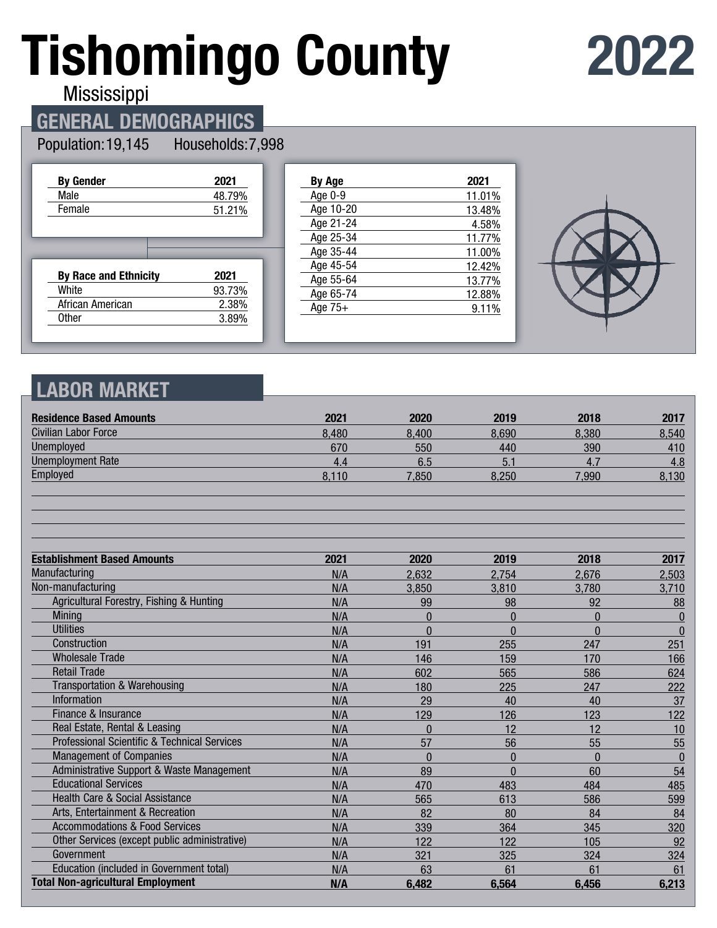# **Tishomingo County**

## **2022**

Mississippi

## **GENERAL DEMOGRAPHICS**

#### Population: 19,145 Households: 7,998

| <b>By Gender</b>             | 2021   |
|------------------------------|--------|
| Male                         | 48.79% |
| Female                       | 51.21% |
|                              |        |
|                              |        |
|                              |        |
| <b>By Race and Ethnicity</b> | 2021   |
| White                        | 93.73% |
| African American             | 2.38%  |
| <b>Other</b>                 | 3.89%  |
|                              |        |

| <b>By Age</b> | 2021   |
|---------------|--------|
| Age 0-9       | 11.01% |
| Age 10-20     | 13.48% |
| Age 21-24     | 4.58%  |
| Age 25-34     | 11.77% |
| Age 35-44     | 11.00% |
| Age 45-54     | 12.42% |
| Age 55-64     | 13.77% |
| Age 65-74     | 12.88% |
| Age $75+$     | 9.11%  |
|               |        |



## **LABOR MARKET**

| <b>Residence Based Amounts</b>                          | 2021  | 2020         | 2019         | 2018         | 2017         |
|---------------------------------------------------------|-------|--------------|--------------|--------------|--------------|
| Civilian Labor Force                                    | 8,480 | 8,400        | 8,690        | 8,380        | 8,540        |
| Unemployed                                              | 670   | 550          | 440          | 390          | 410          |
| <b>Unemployment Rate</b>                                | 4.4   | 6.5          | 5.1          | 4.7          | 4.8          |
| Employed                                                | 8,110 | 7,850        | 8,250        | 7,990        | 8,130        |
|                                                         |       |              |              |              |              |
| <b>Establishment Based Amounts</b>                      | 2021  | 2020         | 2019         | 2018         | 2017         |
| Manufacturing                                           | N/A   | 2,632        | 2,754        | 2,676        | 2,503        |
| Non-manufacturing                                       | N/A   | 3,850        | 3,810        | 3,780        | 3,710        |
| Agricultural Forestry, Fishing & Hunting                | N/A   | 99           | 98           | 92           | 88           |
| <b>Mining</b>                                           | N/A   | $\Omega$     | $\Omega$     | $\mathbf{0}$ | $\mathbf{0}$ |
| <b>Utilities</b>                                        | N/A   | $\Omega$     | $\Omega$     | $\Omega$     | $\bf{0}$     |
| Construction                                            | N/A   | 191          | 255          | 247          | 251          |
| <b>Wholesale Trade</b>                                  | N/A   | 146          | 159          | 170          | 166          |
| <b>Retail Trade</b>                                     | N/A   | 602          | 565          | 586          | 624          |
| <b>Transportation &amp; Warehousing</b>                 | N/A   | 180          | 225          | 247          | 222          |
| <b>Information</b>                                      | N/A   | 29           | 40           | 40           | 37           |
| Finance & Insurance                                     | N/A   | 129          | 126          | 123          | 122          |
| Real Estate, Rental & Leasing                           | N/A   | $\theta$     | 12           | 12           | 10           |
| <b>Professional Scientific &amp; Technical Services</b> | N/A   | 57           | 56           | 55           | 55           |
| <b>Management of Companies</b>                          | N/A   | $\mathbf{0}$ | $\mathbf{0}$ | $\mathbf{0}$ | $\bf{0}$     |
| Administrative Support & Waste Management               | N/A   | 89           | $\Omega$     | 60           | 54           |
| <b>Educational Services</b>                             | N/A   | 470          | 483          | 484          | 485          |
| <b>Health Care &amp; Social Assistance</b>              | N/A   | 565          | 613          | 586          | 599          |
| Arts, Entertainment & Recreation                        | N/A   | 82           | 80           | 84           | 84           |
| <b>Accommodations &amp; Food Services</b>               | N/A   | 339          | 364          | 345          | 320          |
| Other Services (except public administrative)           | N/A   | 122          | 122          | 105          | 92           |
| Government                                              | N/A   | 321          | 325          | 324          | 324          |
| Education (included in Government total)                | N/A   | 63           | 61           | 61           | 61           |
| <b>Total Non-agricultural Employment</b>                | N/A   | 6,482        | 6,564        | 6,456        | 6,213        |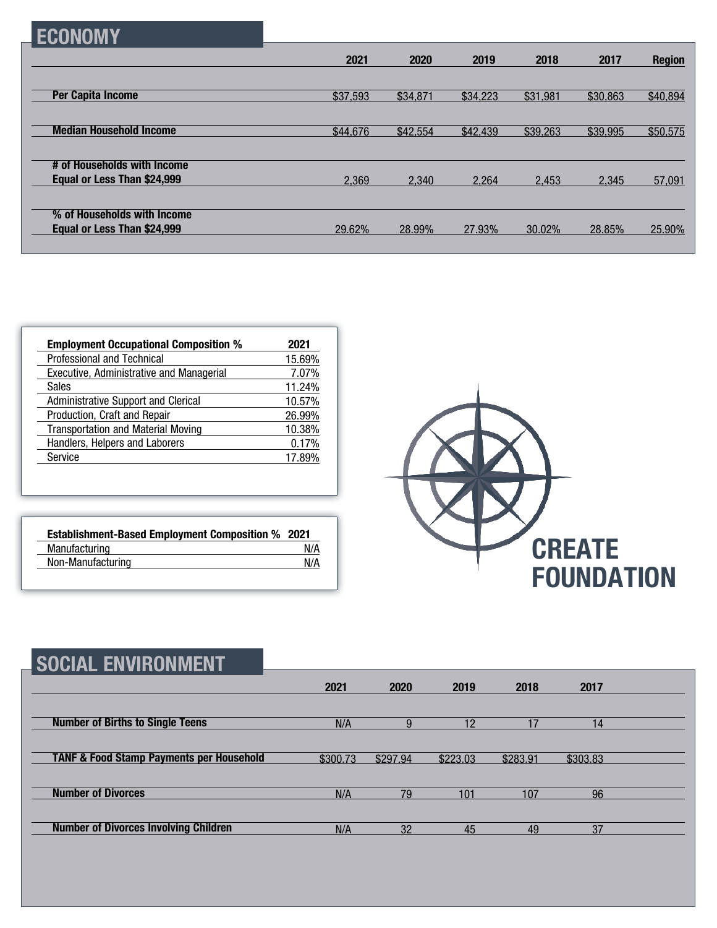|--|

|                                | 2021     | 2020     | 2019     | 2018     | 2017     | <b>Region</b> |
|--------------------------------|----------|----------|----------|----------|----------|---------------|
| <b>Per Capita Income</b>       | \$37,593 | \$34,871 | \$34,223 | \$31,981 | \$30,863 | \$40,894      |
|                                |          |          |          |          |          |               |
| <b>Median Household Income</b> | \$44,676 | \$42,554 | \$42,439 | \$39,263 | \$39,995 | \$50,575      |
| # of Households with Income    |          |          |          |          |          |               |
| Equal or Less Than \$24,999    | 2,369    | 2,340    | 2.264    | 2.453    | 2.345    | 57,091        |
| % of Households with Income    |          |          |          |          |          |               |
| Equal or Less Than \$24,999    | 29.62%   | 28.99%   | 27.93%   | 30.02%   | 28.85%   | 25.90%        |

| <b>Employment Occupational Composition %</b> | 2021   |
|----------------------------------------------|--------|
| Professional and Technical                   | 15.69% |
| Executive, Administrative and Managerial     | 7.07%  |
| <b>Sales</b>                                 | 11.24% |
| <b>Administrative Support and Clerical</b>   | 10.57% |
| Production, Craft and Repair                 | 26.99% |
| <b>Transportation and Material Moving</b>    | 10.38% |
| Handlers, Helpers and Laborers               | 0.17%  |
| Service                                      | 17.89% |

| <b>Establishment-Based Employment Composition % 2021</b> |     |
|----------------------------------------------------------|-----|
| Manufacturing                                            | N/A |
| Non-Manufacturing                                        | N/A |



| <b>SOCIAL ENVIRONMENT</b>                           |          |          |          |          |          |  |
|-----------------------------------------------------|----------|----------|----------|----------|----------|--|
|                                                     | 2021     | 2020     | 2019     | 2018     | 2017     |  |
| <b>Number of Births to Single Teens</b>             | N/A      | 9        | 12       | 17       | 14       |  |
| <b>TANF &amp; Food Stamp Payments per Household</b> | \$300.73 | \$297.94 | \$223.03 | \$283.91 | \$303.83 |  |
| <b>Number of Divorces</b>                           | N/A      | 79       | 101      | 107      | 96       |  |
| <b>Number of Divorces Involving Children</b>        | N/A      | 32       | 45       | 49       | 37       |  |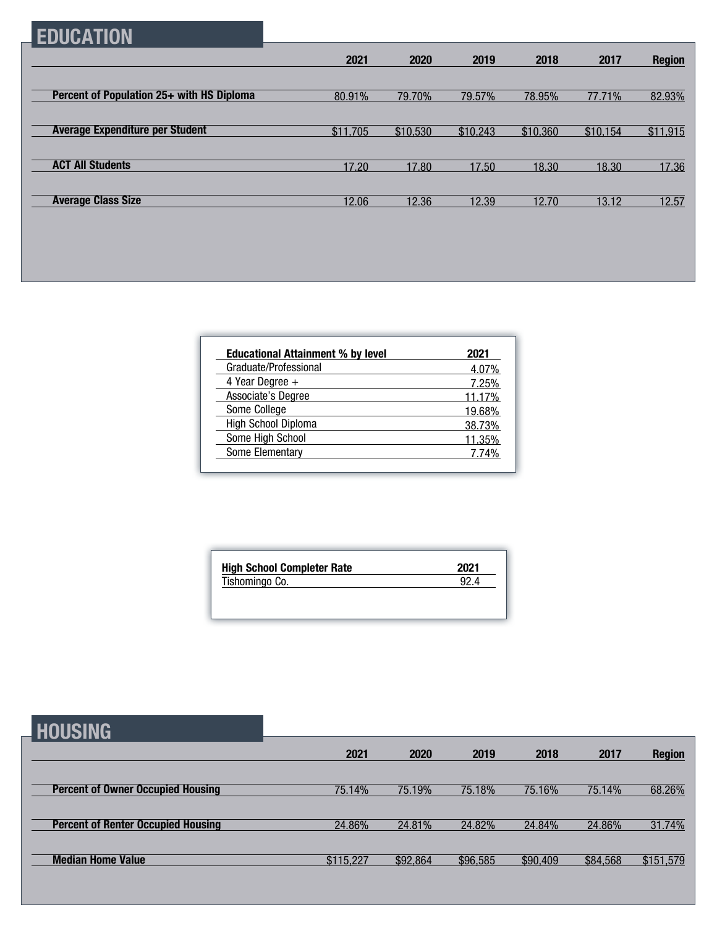## **EDUCATION**

|                                           | 2021     | 2020     | 2019     | 2018     | 2017     | <b>Region</b> |
|-------------------------------------------|----------|----------|----------|----------|----------|---------------|
|                                           |          |          |          |          |          |               |
| Percent of Population 25+ with HS Diploma | 80.91%   | 79.70%   | 79.57%   | 78.95%   | 77.71%   | 82.93%        |
|                                           |          |          |          |          |          |               |
| <b>Average Expenditure per Student</b>    | \$11,705 | \$10,530 | \$10,243 | \$10,360 | \$10,154 | \$11,915      |
|                                           |          |          |          |          |          |               |
| <b>ACT All Students</b>                   | 17.20    | 17.80    | 17.50    | 18.30    | 18.30    | 17.36         |
|                                           |          |          |          |          |          |               |
| <b>Average Class Size</b>                 | 12.06    | 12.36    | 12.39    | 12.70    | 13.12    | 12.57         |

| <b>Educational Attainment % by level</b> | 2021   |
|------------------------------------------|--------|
| Graduate/Professional                    | 4.07%  |
| 4 Year Degree $+$                        | 7.25%  |
| Associate's Degree                       | 11.17% |
| Some College                             | 19.68% |
| High School Diploma                      | 38.73% |
| Some High School                         | 11.35% |
| Some Elementary                          | 7 74%  |

| 2021 |
|------|
| 92.4 |
|      |

| <b>HOUSING</b>                            |           |          |          |          |          |               |
|-------------------------------------------|-----------|----------|----------|----------|----------|---------------|
|                                           | 2021      | 2020     | 2019     | 2018     | 2017     | <b>Region</b> |
| <b>Percent of Owner Occupied Housing</b>  | 75.14%    | 75.19%   | 75.18%   | 75.16%   | 75.14%   | 68.26%        |
| <b>Percent of Renter Occupied Housing</b> | 24.86%    | 24.81%   | 24.82%   | 24.84%   | 24.86%   | 31.74%        |
| <b>Median Home Value</b>                  | \$115,227 | \$92,864 | \$96,585 | \$90,409 | \$84,568 | \$151,579     |